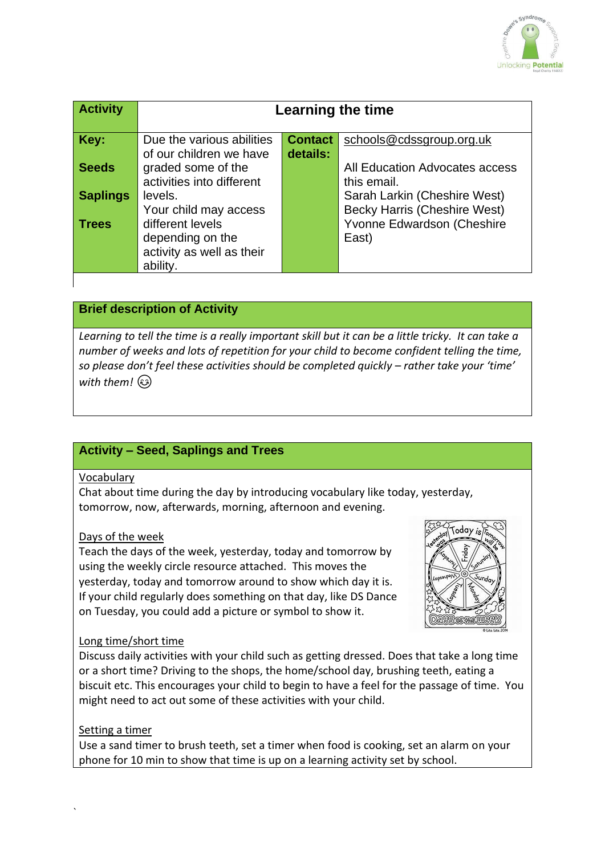

| <b>Activity</b> | Learning the time                                                             |                            |                                                                     |
|-----------------|-------------------------------------------------------------------------------|----------------------------|---------------------------------------------------------------------|
| Key:            | Due the various abilities<br>of our children we have                          | <b>Contact</b><br>details: | schools@cdssgroup.org.uk                                            |
| <b>Seeds</b>    | graded some of the<br>activities into different                               |                            | All Education Advocates access<br>this email.                       |
| <b>Saplings</b> | levels.<br>Your child may access                                              |                            | Sarah Larkin (Cheshire West)<br><b>Becky Harris (Cheshire West)</b> |
| <b>Trees</b>    | different levels<br>depending on the<br>activity as well as their<br>ability. |                            | Yvonne Edwardson (Cheshire<br>East)                                 |

## **Brief description of Activity**

*Learning to tell the time is a really important skill but it can be a little tricky. It can take a number of weeks and lots of repetition for your child to become confident telling the time, so please don't feel these activities should be completed quickly – rather take your 'time' with them!* 

# **Activity – Seed, Saplings and Trees**

#### Vocabulary

Chat about time during the day by introducing vocabulary like today, yesterday, tomorrow, now, afterwards, morning, afternoon and evening.

#### Days of the week

Teach the days of the week, yesterday, today and tomorrow by using the weekly circle resource attached. This moves the yesterday, today and tomorrow around to show which day it is. If your child regularly does something on that day, like DS Dance on Tuesday, you could add a picture or symbol to show it.



#### Long time/short time

Discuss daily activities with your child such as getting dressed. Does that take a long time or a short time? Driving to the shops, the home/school day, brushing teeth, eating a biscuit etc. This encourages your child to begin to have a feel for the passage of time. You might need to act out some of these activities with your child.

#### Setting a timer

Use a sand timer to brush teeth, set a timer when food is cooking, set an alarm on your phone for 10 min to show that time is up on a learning activity set by school.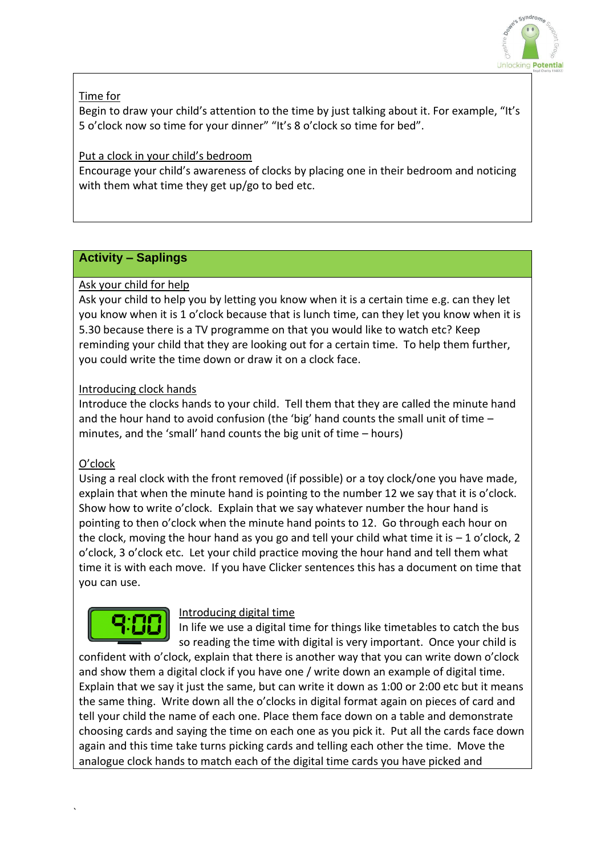

## Time for

Begin to draw your child's attention to the time by just talking about it. For example, "It's 5 o'clock now so time for your dinner" "It's 8 o'clock so time for bed".

## Put a clock in your child's bedroom

Encourage your child's awareness of clocks by placing one in their bedroom and noticing with them what time they get up/go to bed etc.

# **Activity – Saplings**

# Ask your child for help

Ask your child to help you by letting you know when it is a certain time e.g. can they let you know when it is 1 o'clock because that is lunch time, can they let you know when it is 5.30 because there is a TV programme on that you would like to watch etc? Keep reminding your child that they are looking out for a certain time. To help them further, you could write the time down or draw it on a clock face.

## Introducing clock hands

Introduce the clocks hands to your child. Tell them that they are called the minute hand and the hour hand to avoid confusion (the 'big' hand counts the small unit of time – minutes, and the 'small' hand counts the big unit of time – hours)

### O'clock

Using a real clock with the front removed (if possible) or a toy clock/one you have made, explain that when the minute hand is pointing to the number 12 we say that it is o'clock. Show how to write o'clock. Explain that we say whatever number the hour hand is pointing to then o'clock when the minute hand points to 12. Go through each hour on the clock, moving the hour hand as you go and tell your child what time it is  $-1$  o'clock, 2 o'clock, 3 o'clock etc. Let your child practice moving the hour hand and tell them what time it is with each move. If you have Clicker sentences this has a document on time that you can use.



### Introducing digital time

In life we use a digital time for things like timetables to catch the bus so reading the time with digital is very important. Once your child is

confident with o'clock, explain that there is another way that you can write down o'clock and show them a digital clock if you have one / write down an example of digital time. Explain that we say it just the same, but can write it down as 1:00 or 2:00 etc but it means the same thing. Write down all the o'clocks in digital format again on pieces of card and tell your child the name of each one. Place them face down on a table and demonstrate choosing cards and saying the time on each one as you pick it. Put all the cards face down again and this time take turns picking cards and telling each other the time. Move the analogue clock hands to match each of the digital time cards you have picked and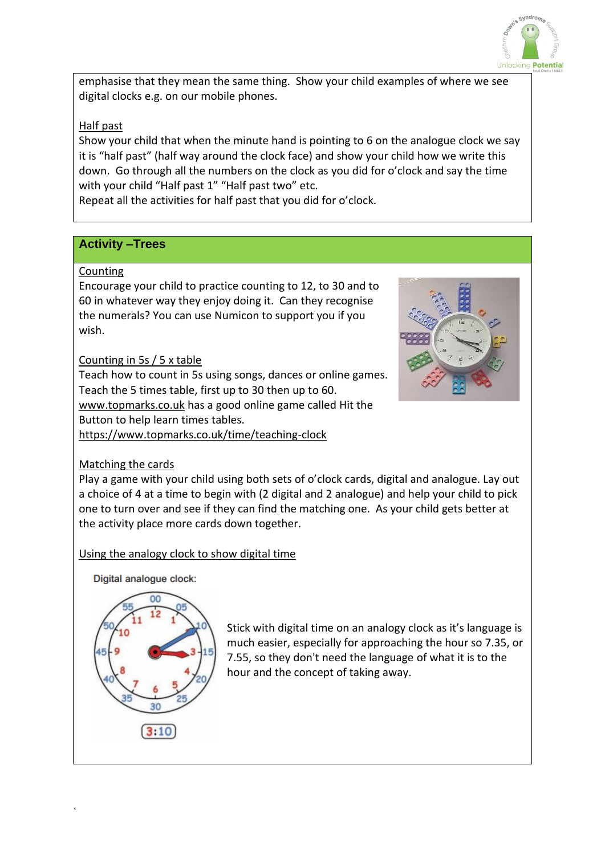

emphasise that they mean the same thing. Show your child examples of where we see digital clocks e.g. on our mobile phones.

## Half past

Show your child that when the minute hand is pointing to 6 on the analogue clock we say it is "half past" (half way around the clock face) and show your child how we write this down. Go through all the numbers on the clock as you did for o'clock and say the time with your child "Half past 1" "Half past two" etc.

Repeat all the activities for half past that you did for o'clock.

## **Activity –Trees**

#### Counting

Encourage your child to practice counting to 12, to 30 and to 60 in whatever way they enjoy doing it. Can they recognise the numerals? You can use Numicon to support you if you wish.

### Counting in 5s / 5 x table

Teach how to count in 5s using songs, dances or online games. Teach the 5 times table, first up to 30 then up to 60. [www.topmarks.co.uk](about:blank) has a good online game called Hit the Button to help learn times tables. [https://www.topmarks.co.uk/time/teaching-clock](about:blank)



### Matching the cards

Play a game with your child using both sets of o'clock cards, digital and analogue. Lay out a choice of 4 at a time to begin with (2 digital and 2 analogue) and help your child to pick one to turn over and see if they can find the matching one. As your child gets better at the activity place more cards down together.

Using the analogy clock to show digital time

Digital analogue clock:



`

Stick with digital time on an analogy clock as it's language is much easier, especially for approaching the hour so 7.35, or 7.55, so they don't need the language of what it is to the hour and the concept of taking away.